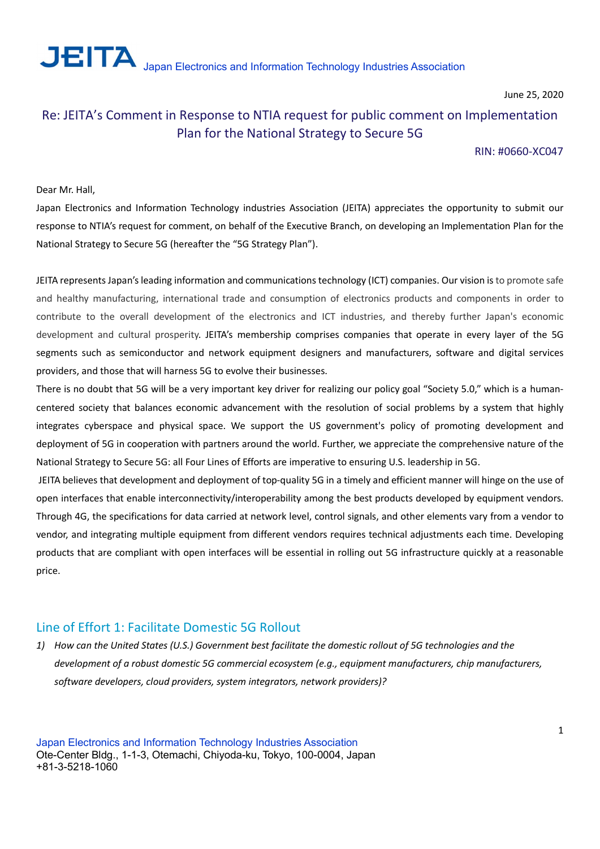

# Re: JEITA's Comment in Response to NTIA request for public comment on Implementation Plan for the National Strategy to Secure 5G

### RIN: #0660-XC047

### Dear Mr. Hall,

Japan Electronics and Information Technology industries Association (JEITA) appreciates the opportunity to submit our response to NTIA's request for comment, on behalf of the Executive Branch, on developing an Implementation Plan for the National Strategy to Secure 5G (hereafter the "5G Strategy Plan").

JEITA represents Japan's leading information and communications technology (ICT) companies. Our vision is to promote safe and healthy manufacturing, international trade and consumption of electronics products and components in order to contribute to the overall development of the electronics and ICT industries, and thereby further Japan's economic development and cultural prosperity. JEITA's membership comprises companies that operate in every layer of the 5G segments such as semiconductor and network equipment designers and manufacturers, software and digital services providers, and those that will harness 5G to evolve their businesses.

There is no doubt that 5G will be a very important key driver for realizing our policy goal "Society 5.0," which is a humancentered society that balances economic advancement with the resolution of social problems by a system that highly integrates cyberspace and physical space. We support the US government's policy of promoting development and deployment of 5G in cooperation with partners around the world. Further, we appreciate the comprehensive nature of the National Strategy to Secure 5G: all Four Lines of Efforts are imperative to ensuring U.S. leadership in 5G.

 JEITA believes that development and deployment of top-quality 5G in a timely and efficient manner will hinge on the use of open interfaces that enable interconnectivity/interoperability among the best products developed by equipment vendors. Through 4G, the specifications for data carried at network level, control signals, and other elements vary from a vendor to vendor, and integrating multiple equipment from different vendors requires technical adjustments each time. Developing products that are compliant with open interfaces will be essential in rolling out 5G infrastructure quickly at a reasonable price.

## Line of Effort 1: Facilitate Domestic 5G Rollout

1) How can the United States (U.S.) Government best facilitate the domestic rollout of 5G technologies and the development of a robust domestic 5G commercial ecosystem (e.g., equipment manufacturers, chip manufacturers, software developers, cloud providers, system integrators, network providers)?